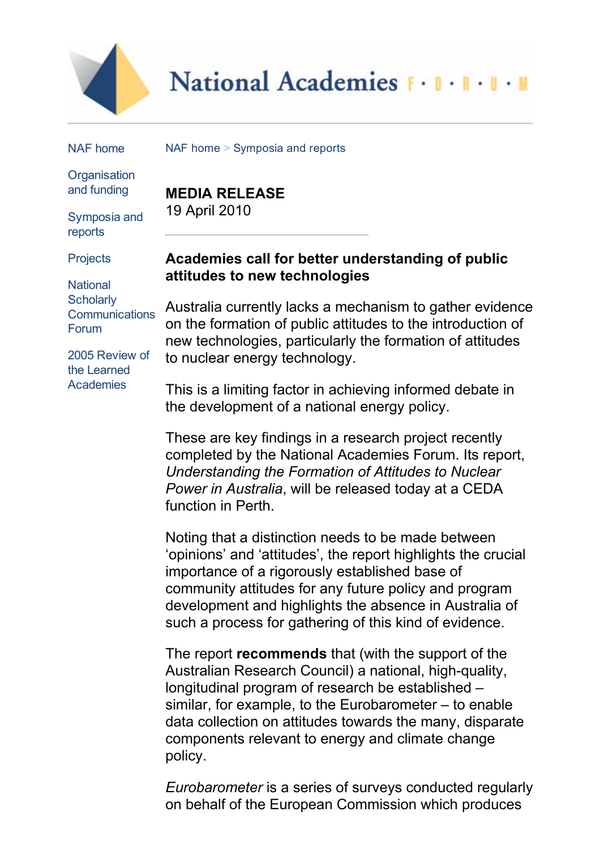

# National Academies F . I . R . U . M

NAF [home](http://www.naf.org.au/index.htm)

NAF [home](http://www.acolasecretariat.org.au/index.htm) > [Symposia](http://www.acolasecretariat.org.au/symposia.htm) and reports

**[Organisation](http://www.naf.org.au/aboutnaf.htm)** and funding

[Symposia](http://www.naf.org.au/symposia.htm) and reports

**[Projects](http://www.naf.org.au/lasp.htm)** 

**National Scholarly [Communications](http://www.naf.org.au/nscf.htm)** Forum

2005 Review of the Learned **[Academies](http://www.naf.org.au/2005-review.pdf)** 

**MEDIA RELEASE** 19 April 2010

# **Academies call for better understanding of public attitudes to new technologies**

Australia currently lacks a mechanism to gather evidence on the formation of public attitudes to the introduction of new technologies, particularly the formation of attitudes to nuclear energy technology.

This is a limiting factor in achieving informed debate in the development of a national energy policy.

These are key findings in a research project recently completed by the National Academies Forum. Its report, *Understanding the Formation of Attitudes to Nuclear Power in Australia*, will be released today at a CEDA function in Perth.

Noting that a distinction needs to be made between 'opinions' and 'attitudes', the report highlights the crucial importance of a rigorously established base of community attitudes for any future policy and program development and highlights the absence in Australia of such a process for gathering of this kind of evidence.

The report **recommends** that (with the support of the Australian Research Council) a national, high-quality, longitudinal program of research be established – similar, for example, to the Eurobarometer – to enable data collection on attitudes towards the many, disparate components relevant to energy and climate change policy.

*Eurobarometer* is a series of surveys conducted regularly on behalf of the European Commission which produces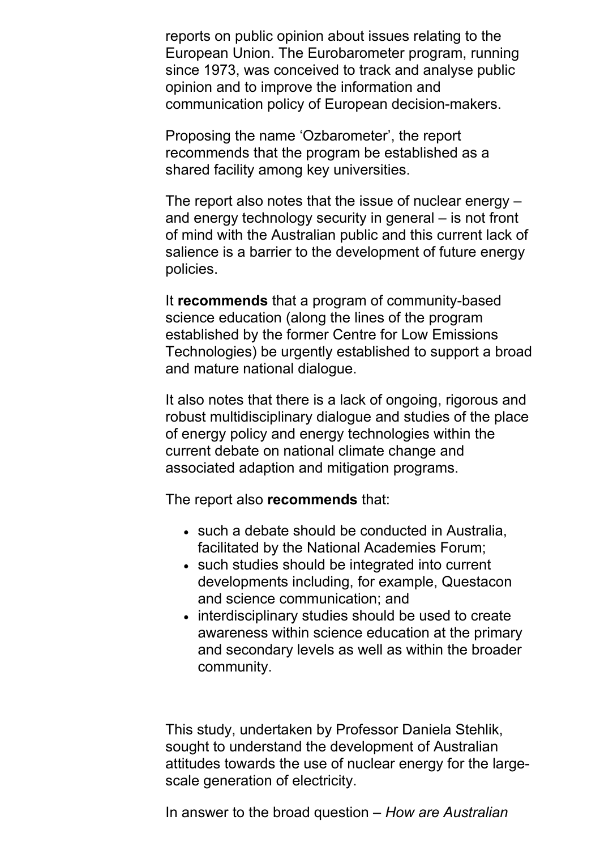reports on public opinion about issues relating to the European Union. The Eurobarometer program, running since 1973, was conceived to track and analyse public opinion and to improve the information and communication policy of European decision-makers.

Proposing the name 'Ozbarometer', the report recommends that the program be established as a shared facility among key universities.

The report also notes that the issue of nuclear energy – and energy technology security in general – is not front of mind with the Australian public and this current lack of salience is a barrier to the development of future energy policies.

It **recommends** that a program of community-based science education (along the lines of the program established by the former Centre for Low Emissions Technologies) be urgently established to support a broad and mature national dialogue.

It also notes that there is a lack of ongoing, rigorous and robust multidisciplinary dialogue and studies of the place of energy policy and energy technologies within the current debate on national climate change and associated adaption and mitigation programs.

The report also **recommends** that:

- such a debate should be conducted in Australia, facilitated by the National Academies Forum;
- such studies should be integrated into current developments including, for example, Questacon and science communication; and
- interdisciplinary studies should be used to create awareness within science education at the primary and secondary levels as well as within the broader community.

This study, undertaken by Professor Daniela Stehlik, sought to understand the development of Australian attitudes towards the use of nuclear energy for the largescale generation of electricity.

In answer to the broad question – *How are Australian*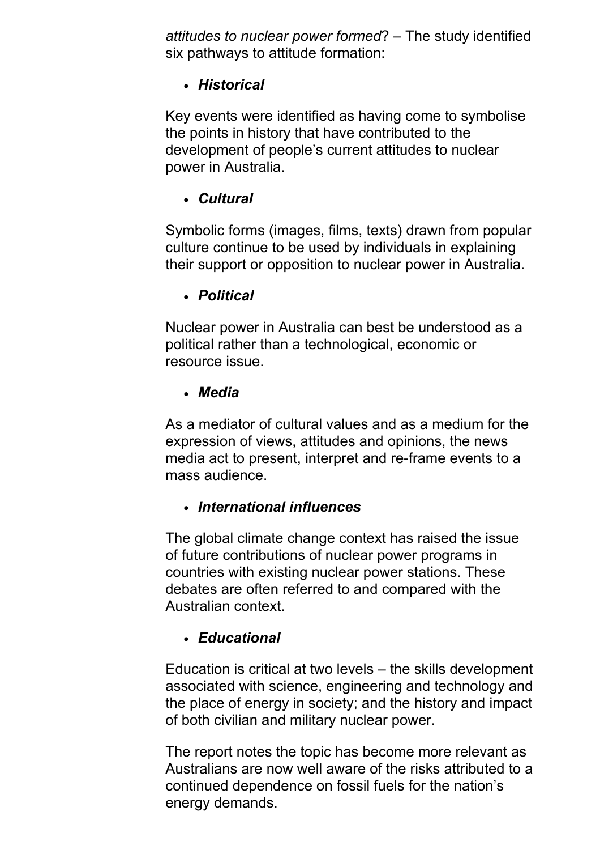*attitudes to nuclear power formed*? – The study identified six pathways to attitude formation:

### *Historical*

Key events were identified as having come to symbolise the points in history that have contributed to the development of people's current attitudes to nuclear power in Australia.

# *Cultural*

Symbolic forms (images, films, texts) drawn from popular culture continue to be used by individuals in explaining their support or opposition to nuclear power in Australia.

### *Political*

Nuclear power in Australia can best be understood as a political rather than a technological, economic or resource issue.

### *Media*

As a mediator of cultural values and as a medium for the expression of views, attitudes and opinions, the news media act to present, interpret and re-frame events to a mass audience.

### *International influences*

The global climate change context has raised the issue of future contributions of nuclear power programs in countries with existing nuclear power stations. These debates are often referred to and compared with the Australian context.

### *Educational*

Education is critical at two levels – the skills development associated with science, engineering and technology and the place of energy in society; and the history and impact of both civilian and military nuclear power.

The report notes the topic has become more relevant as Australians are now well aware of the risks attributed to a continued dependence on fossil fuels for the nation's energy demands.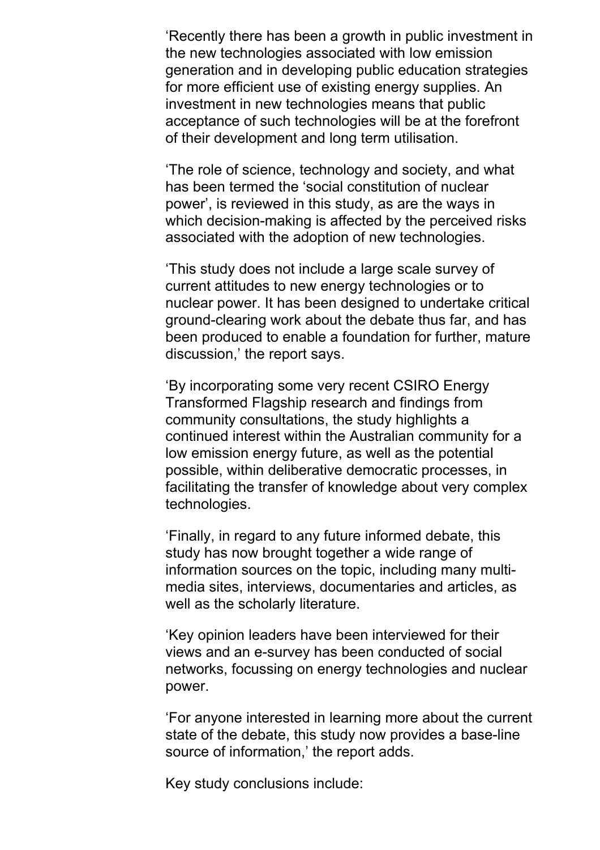'Recently there has been a growth in public investment in the new technologies associated with low emission generation and in developing public education strategies for more efficient use of existing energy supplies. An investment in new technologies means that public acceptance of such technologies will be at the forefront of their development and long term utilisation.

'The role of science, technology and society, and what has been termed the 'social constitution of nuclear power', is reviewed in this study, as are the ways in which decision-making is affected by the perceived risks associated with the adoption of new technologies.

'This study does not include a large scale survey of current attitudes to new energy technologies or to nuclear power. It has been designed to undertake critical ground-clearing work about the debate thus far, and has been produced to enable a foundation for further, mature discussion,' the report says.

'By incorporating some very recent CSIRO Energy Transformed Flagship research and findings from community consultations, the study highlights a continued interest within the Australian community for a low emission energy future, as well as the potential possible, within deliberative democratic processes, in facilitating the transfer of knowledge about very complex technologies.

'Finally, in regard to any future informed debate, this study has now brought together a wide range of information sources on the topic, including many multimedia sites, interviews, documentaries and articles, as well as the scholarly literature.

'Key opinion leaders have been interviewed for their views and an e-survey has been conducted of social networks, focussing on energy technologies and nuclear power.

'For anyone interested in learning more about the current state of the debate, this study now provides a base-line source of information,' the report adds.

Key study conclusions include: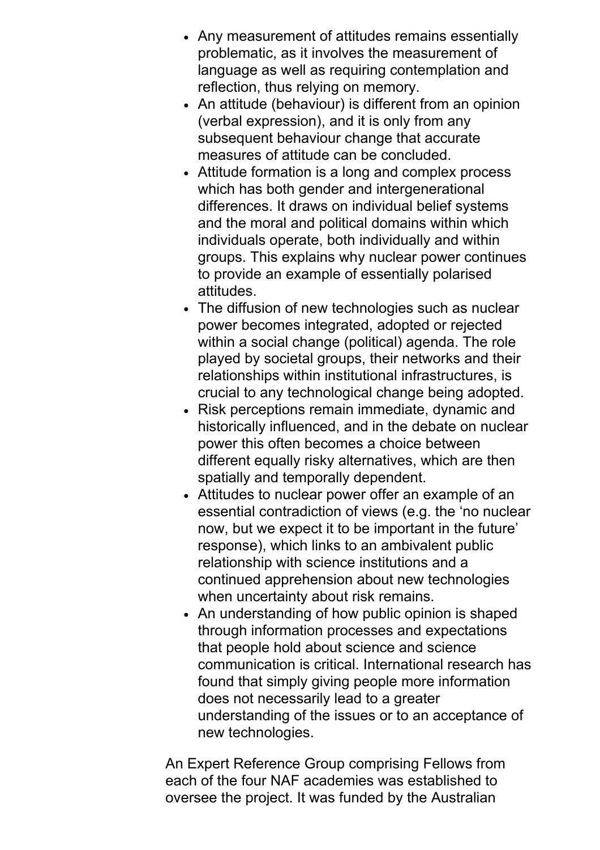- Any measurement of attitudes remains essentially problematic, as it involves the measurement of language as well as requiring contemplation and reflection, thus relying on memory.
- An attitude (behaviour) is different from an opinion (verbal expression), and it is only from any subsequent behaviour change that accurate measures of attitude can be concluded.
- Attitude formation is a long and complex process which has both gender and intergenerational differences. It draws on individual belief systems and the moral and political domains within which individuals operate, both individually and within groups. This explains why nuclear power continues to provide an example of essentially polarised attitudes.
- The diffusion of new technologies such as nuclear power becomes integrated, adopted or rejected within a social change (political) agenda. The role played by societal groups, their networks and their relationships within institutional infrastructures, is crucial to any technological change being adopted.
- Risk perceptions remain immediate, dynamic and historically influenced, and in the debate on nuclear power this often becomes a choice between different equally risky alternatives, which are then spatially and temporally dependent.
- Attitudes to nuclear power offer an example of an essential contradiction of views (e.g. the 'no nuclear now, but we expect it to be important in the future' response), which links to an ambivalent public relationship with science institutions and a continued apprehension about new technologies when uncertainty about risk remains.
- An understanding of how public opinion is shaped through information processes and expectations that people hold about science and science communication is critical. International research has found that simply giving people more information does not necessarily lead to a greater understanding of the issues or to an acceptance of new technologies.

An Expert Reference Group comprising Fellows from each of the four NAF academies was established to oversee the project. It was funded by the Australian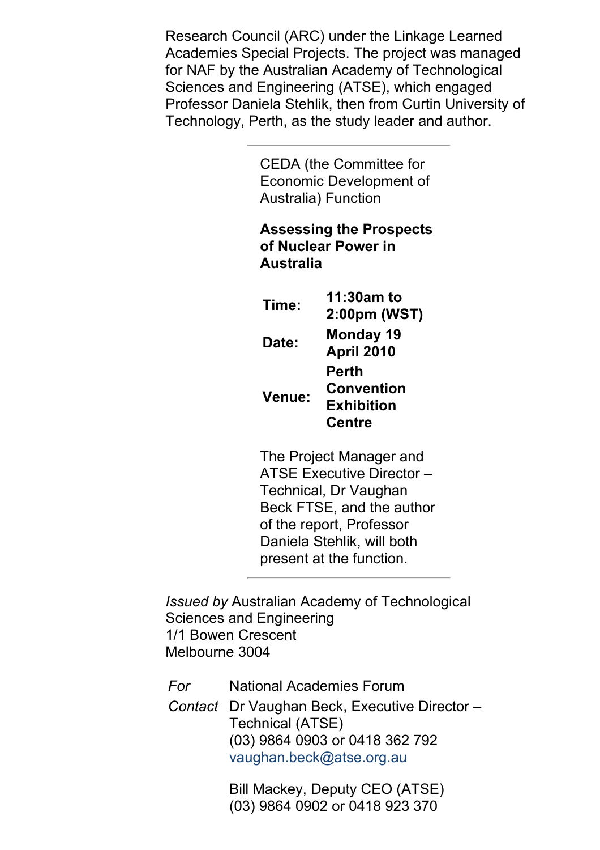Research Council (ARC) under the Linkage Learned Academies Special Projects. The project was managed for NAF by the Australian Academy of Technological Sciences and Engineering (ATSE), which engaged Professor Daniela Stehlik, then from Curtin University of Technology, Perth, as the study leader and author.

> CEDA (the Committee for Economic Development of Australia) Function

### **Assessing the Prospects of Nuclear Power in Australia**

**Time: 11:30am to 2:00pm (WST) Date: Monday 19 April 2010 Venue: Perth Convention Exhibition Centre**

The Project Manager and ATSE Executive Director – Technical, Dr Vaughan Beck FTSE, and the author of the report, Professor Daniela Stehlik, will both present at the function.

*Issued by* Australian Academy of Technological Sciences and Engineering 1/1 Bowen Crescent Melbourne 3004

*For* National Academies Forum

*Contact* Dr Vaughan Beck, Executive Director – Technical (ATSE) (03) 9864 0903 or 0418 362 792 [vaughan.beck@atse.org.au](mailto:vaughan.beck@atse.org.au)

> Bill Mackey, Deputy CEO (ATSE) (03) 9864 0902 or 0418 923 370